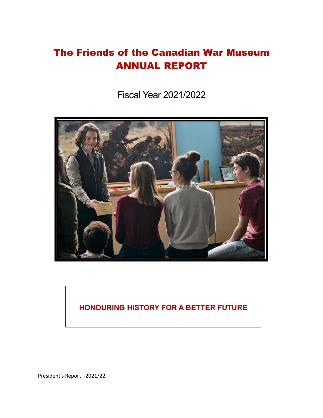# The Friends of the Canadian War Museum ANNUAL REPORT

Fiscal Year 2021/2022



# **HONOURING HISTORY FOR A BETTER FUTURE**

President's Report -2021/22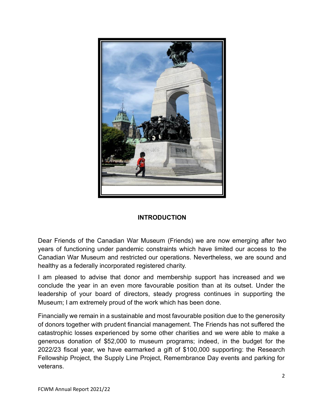

#### **INTRODUCTION**

Dear Friends of the Canadian War Museum (Friends) we are now emerging after two years of functioning under pandemic constraints which have limited our access to the Canadian War Museum and restricted our operations. Nevertheless, we are sound and healthy as a federally incorporated registered charity.

I am pleased to advise that donor and membership support has increased and we conclude the year in an even more favourable position than at its outset. Under the leadership of your board of directors, steady progress continues in supporting the Museum; I am extremely proud of the work which has been done.

Financially we remain in a sustainable and most favourable position due to the generosity of donors together with prudent financial management. The Friends has not suffered the catastrophic losses experienced by some other charities and we were able to make a generous donation of \$52,000 to museum programs; indeed, in the budget for the 2022/23 fiscal year, we have earmarked a gift of \$100,000 supporting: the Research Fellowship Project, the Supply Line Project, Remembrance Day events and parking for veterans.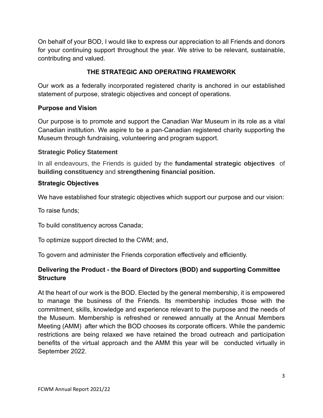On behalf of your BOD, I would like to express our appreciation to all Friends and donors for your continuing support throughout the year. We strive to be relevant, sustainable, contributing and valued.

# **THE STRATEGIC AND OPERATING FRAMEWORK**

Our work as a federally incorporated registered charity is anchored in our established statement of purpose, strategic objectives and concept of operations.

#### **Purpose and Vision**

Our purpose is to promote and support the Canadian War Museum in its role as a vital Canadian institution. We aspire to be a pan-Canadian registered charity supporting the Museum through fundraising, volunteering and program support.

#### **Strategic Policy Statement**

In all endeavours, the Friends is guided by the **fundamental strategic objectives** of **building constituency** and **strengthening financial position.**

#### **Strategic Objectives**

We have established four strategic objectives which support our purpose and our vision:

To raise funds;

To build constituency across Canada;

To optimize support directed to the CWM; and,

To govern and administer the Friends corporation effectively and efficiently.

# **Delivering the Product - the Board of Directors (BOD) and supporting Committee Structure**

At the heart of our work is the BOD. Elected by the general membership, it is empowered to manage the business of the Friends. Its membership includes those with the commitment, skills, knowledge and experience relevant to the purpose and the needs of the Museum. Membership is refreshed or renewed annually at the Annual Members Meeting (AMM) after which the BOD chooses its corporate officers. While the pandemic restrictions are being relaxed we have retained the broad outreach and participation benefits of the virtual approach and the AMM this year will be conducted virtually in September 2022.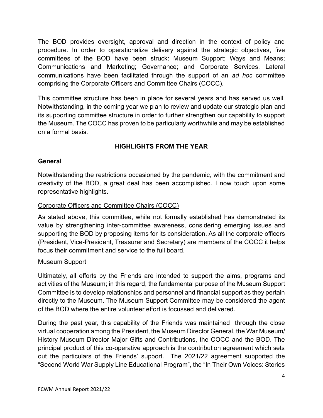The BOD provides oversight, approval and direction in the context of policy and procedure. In order to operationalize delivery against the strategic objectives, five committees of the BOD have been struck: Museum Support; Ways and Means; Communications and Marketing; Governance; and Corporate Services. Lateral communications have been facilitated through the support of an *ad hoc* committee comprising the Corporate Officers and Committee Chairs (COCC).

This committee structure has been in place for several years and has served us well. Notwithstanding, in the coming year we plan to review and update our strategic plan and its supporting committee structure in order to further strengthen our capability to support the Museum. The COCC has proven to be particularly worthwhile and may be established on a formal basis.

## **HIGHLIGHTS FROM THE YEAR**

#### **General**

Notwithstanding the restrictions occasioned by the pandemic, with the commitment and creativity of the BOD, a great deal has been accomplished. I now touch upon some representative highlights.

#### Corporate Officers and Committee Chairs (COCC)

As stated above, this committee, while not formally established has demonstrated its value by strengthening inter-committee awareness, considering emerging issues and supporting the BOD by proposing items for its consideration. As all the corporate officers (President, Vice-President, Treasurer and Secretary) are members of the COCC it helps focus their commitment and service to the full board.

#### Museum Support

Ultimately, all efforts by the Friends are intended to support the aims, programs and activities of the Museum; in this regard, the fundamental purpose of the Museum Support Committee is to develop relationships and personnel and financial support as they pertain directly to the Museum. The Museum Support Committee may be considered the agent of the BOD where the entire volunteer effort is focussed and delivered.

During the past year, this capability of the Friends was maintained through the close virtual cooperation among the President, the Museum Director General, the War Museum/ History Museum Director Major Gifts and Contributions, the COCC and the BOD. The principal product of this co-operative approach is the contribution agreement which sets out the particulars of the Friends' support. The 2021/22 agreement supported the "Second World War Supply Line Educational Program", the "In Their Own Voices: Stories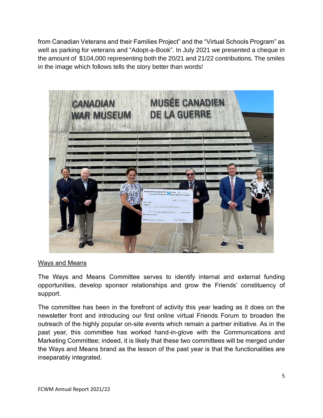from Canadian Veterans and their Families Project" and the "Virtual Schools Program" as well as parking for veterans and "Adopt-a-Book". In July 2021 we presented a cheque in the amount of \$104,000 representing both the 20/21 and 21/22 contributions. The smiles in the image which follows tells the story better than words!



#### Ways and Means

The Ways and Means Committee serves to identify internal and external funding opportunities, develop sponsor relationships and grow the Friends' constituency of support.

The committee has been in the forefront of activity this year leading as it does on the newsletter front and introducing our first online virtual Friends Forum to broaden the outreach of the highly popular on-site events which remain a partner initiative. As in the past year, this committee has worked hand-in-glove with the Communications and Marketing Committee; indeed, it is likely that these two committees will be merged under the Ways and Means brand as the lesson of the past year is that the functionalities are inseparably integrated.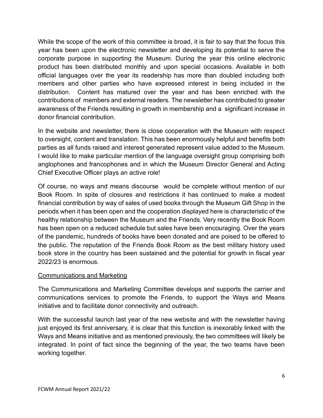While the scope of the work of this committee is broad, it is fair to say that the focus this year has been upon the electronic newsletter and developing its potential to serve the corporate purpose in supporting the Museum. During the year this online electronic product has been distributed monthly and upon special occasions. Available in both official languages over the year its readership has more than doubled including both members and other parties who have expressed interest in being included in the distribution. Content has matured over the year and has been enriched with the contributions of members and external readers. The newsletter has contributed to greater awareness of the Friends resulting in growth in membership and a significant increase in donor financial contribution.

In the website and newsletter, there is close cooperation with the Museum with respect to oversight, content and translation. This has been enormously helpful and benefits both parties as all funds raised and interest generated represent value added to the Museum. I would like to make particular mention of the language oversight group comprising both anglophones and francophones and in which the Museum Director General and Acting Chief Executive Officer plays an active role!

Of course, no ways and means discourse would be complete without mention of our Book Room. In spite of closures and restrictions it has continued to make a modest financial contribution by way of sales of used books through the Museum Gift Shop in the periods when it has been open and the cooperation displayed here is characteristic of the healthy relationship between the Museum and the Friends. Very recently the Book Room has been open on a reduced schedule but sales have been encouraging. Over the years of the pandemic, hundreds of books have been donated and are poised to be offered to the public. The reputation of the Friends Book Room as the best military history used book store in the country has been sustained and the potential for growth in fiscal year 2022/23 is enormous.

#### Communications and Marketing

The Communications and Marketing Committee develops and supports the carrier and communications services to promote the Friends, to support the Ways and Means initiative and to facilitate donor connectivity and outreach.

With the successful launch last year of the new website and with the newsletter having just enjoyed its first anniversary, it is clear that this function is inexorably linked with the Ways and Means initiative and as mentioned previously, the two committees will likely be integrated. In point of fact since the beginning of the year, the two teams have been working together.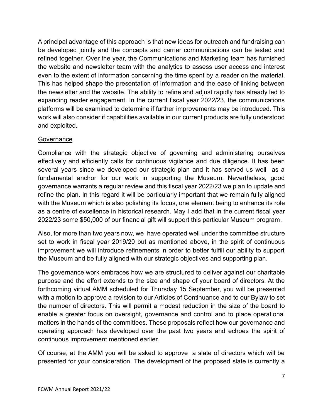A principal advantage of this approach is that new ideas for outreach and fundraising can be developed jointly and the concepts and carrier communications can be tested and refined together. Over the year, the Communications and Marketing team has furnished the website and newsletter team with the analytics to assess user access and interest even to the extent of information concerning the time spent by a reader on the material. This has helped shape the presentation of information and the ease of linking between the newsletter and the website. The ability to refine and adjust rapidly has already led to expanding reader engagement. In the current fiscal year 2022/23, the communications platforms will be examined to determine if further improvements may be introduced. This work will also consider if capabilities available in our current products are fully understood and exploited.

#### **Governance**

Compliance with the strategic objective of governing and administering ourselves effectively and efficiently calls for continuous vigilance and due diligence. It has been several years since we developed our strategic plan and it has served us well as a fundamental anchor for our work in supporting the Museum. Nevertheless, good governance warrants a regular review and this fiscal year 2022/23 we plan to update and refine the plan. In this regard it will be particularly important that we remain fully aligned with the Museum which is also polishing its focus, one element being to enhance its role as a centre of excellence in historical research. May I add that in the current fiscal year 2022/23 some \$50,000 of our financial gift will support this particular Museum program.

Also, for more than two years now, we have operated well under the committee structure set to work in fiscal year 2019/20 but as mentioned above, in the spirit of continuous improvement we will introduce refinements in order to better fulfill our ability to support the Museum and be fully aligned with our strategic objectives and supporting plan.

The governance work embraces how we are structured to deliver against our charitable purpose and the effort extends to the size and shape of your board of directors. At the forthcoming virtual AMM scheduled for Thursday 15 September, you will be presented with a motion to approve a revision to our Articles of Continuance and to our Bylaw to set the number of directors. This will permit a modest reduction in the size of the board to enable a greater focus on oversight, governance and control and to place operational matters in the hands of the committees. These proposals reflect how our governance and operating approach has developed over the past two years and echoes the spirit of continuous improvement mentioned earlier.

Of course, at the AMM you will be asked to approve a slate of directors which will be presented for your consideration. The development of the proposed slate is currently a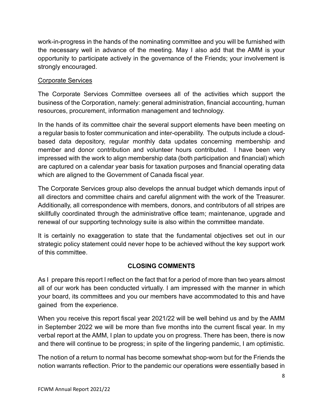work-in-progress in the hands of the nominating committee and you will be furnished with the necessary well in advance of the meeting. May I also add that the AMM is your opportunity to participate actively in the governance of the Friends; your involvement is strongly encouraged.

## Corporate Services

The Corporate Services Committee oversees all of the activities which support the business of the Corporation, namely: general administration, financial accounting, human resources, procurement, information management and technology.

In the hands of its committee chair the several support elements have been meeting on a regular basis to foster communication and inter-operability. The outputs include a cloudbased data depository, regular monthly data updates concerning membership and member and donor contribution and volunteer hours contributed. I have been very impressed with the work to align membership data (both participation and financial) which are captured on a calendar year basis for taxation purposes and financial operating data which are aligned to the Government of Canada fiscal year.

The Corporate Services group also develops the annual budget which demands input of all directors and committee chairs and careful alignment with the work of the Treasurer. Additionally, all correspondence with members, donors, and contributors of all stripes are skillfully coordinated through the administrative office team; maintenance, upgrade and renewal of our supporting technology suite is also within the committee mandate.

It is certainly no exaggeration to state that the fundamental objectives set out in our strategic policy statement could never hope to be achieved without the key support work of this committee.

# **CLOSING COMMENTS**

As I prepare this report I reflect on the fact that for a period of more than two years almost all of our work has been conducted virtually. I am impressed with the manner in which your board, its committees and you our members have accommodated to this and have gained from the experience.

When you receive this report fiscal year 2021/22 will be well behind us and by the AMM in September 2022 we will be more than five months into the current fiscal year. In my verbal report at the AMM, I plan to update you on progress. There has been, there is now and there will continue to be progress; in spite of the lingering pandemic, I am optimistic.

The notion of a return to normal has become somewhat shop-worn but for the Friends the notion warrants reflection. Prior to the pandemic our operations were essentially based in